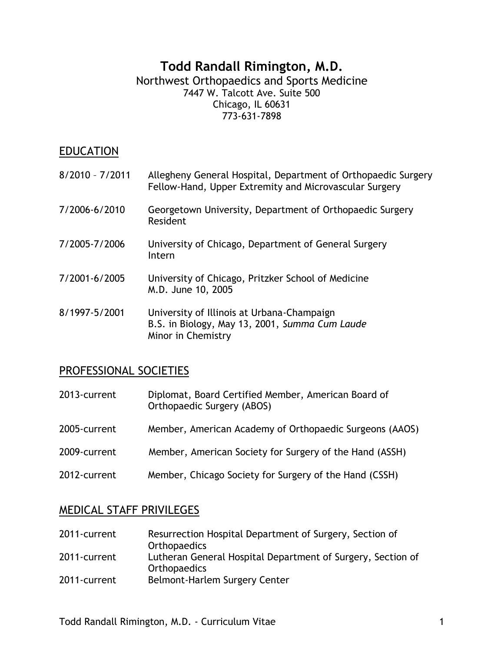#### **Todd Randall Rimington, M.D.** Northwest Orthopaedics and Sports Medicine 7447 W. Talcott Ave. Suite 500 Chicago, IL 60631 773-631-7898

### **EDUCATION**

| $8/2010 - 7/2011$ | Allegheny General Hospital, Department of Orthopaedic Surgery<br>Fellow-Hand, Upper Extremity and Microvascular Surgery |
|-------------------|-------------------------------------------------------------------------------------------------------------------------|
| 7/2006-6/2010     | Georgetown University, Department of Orthopaedic Surgery<br>Resident                                                    |
| 7/2005-7/2006     | University of Chicago, Department of General Surgery<br>Intern                                                          |
| 7/2001-6/2005     | University of Chicago, Pritzker School of Medicine<br>M.D. June 10, 2005                                                |
| 8/1997-5/2001     | University of Illinois at Urbana-Champaign<br>B.S. in Biology, May 13, 2001, Summa Cum Laude<br>Minor in Chemistry      |

#### PROFESSIONAL SOCIETIES

| 2013-current | Diplomat, Board Certified Member, American Board of<br>Orthopaedic Surgery (ABOS) |
|--------------|-----------------------------------------------------------------------------------|
| 2005-current | Member, American Academy of Orthopaedic Surgeons (AAOS)                           |
| 2009-current | Member, American Society for Surgery of the Hand (ASSH)                           |
| 2012-current | Member, Chicago Society for Surgery of the Hand (CSSH)                            |

## MEDICAL STAFF PRIVILEGES

| 2011-current | Resurrection Hospital Department of Surgery, Section of<br><b>Orthopaedics</b>     |
|--------------|------------------------------------------------------------------------------------|
| 2011-current | Lutheran General Hospital Department of Surgery, Section of<br><b>Orthopaedics</b> |
| 2011-current | Belmont-Harlem Surgery Center                                                      |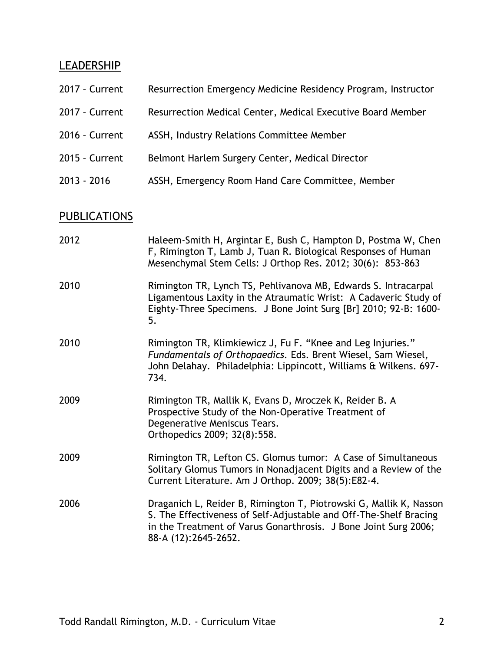# **LEADERSHIP**

| 2017 - Current | Resurrection Emergency Medicine Residency Program, Instructor |
|----------------|---------------------------------------------------------------|
| 2017 - Current | Resurrection Medical Center, Medical Executive Board Member   |
| 2016 - Current | ASSH, Industry Relations Committee Member                     |
| 2015 - Current | Belmont Harlem Surgery Center, Medical Director               |
| 2013 - 2016    | ASSH, Emergency Room Hand Care Committee, Member              |
|                |                                                               |

# **PUBLICATIONS**

| 2012 | Haleem-Smith H, Argintar E, Bush C, Hampton D, Postma W, Chen<br>F, Rimington T, Lamb J, Tuan R. Biological Responses of Human<br>Mesenchymal Stem Cells: J Orthop Res. 2012; 30(6): 853-863                                       |
|------|------------------------------------------------------------------------------------------------------------------------------------------------------------------------------------------------------------------------------------|
| 2010 | Rimington TR, Lynch TS, Pehlivanova MB, Edwards S. Intracarpal<br>Ligamentous Laxity in the Atraumatic Wrist: A Cadaveric Study of<br>Eighty-Three Specimens. J Bone Joint Surg [Br] 2010; 92-B: 1600-<br>5.                       |
| 2010 | Rimington TR, Klimkiewicz J, Fu F. "Knee and Leg Injuries."<br>Fundamentals of Orthopaedics. Eds. Brent Wiesel, Sam Wiesel,<br>John Delahay. Philadelphia: Lippincott, Williams & Wilkens. 697-<br>734.                            |
| 2009 | Rimington TR, Mallik K, Evans D, Mroczek K, Reider B. A<br>Prospective Study of the Non-Operative Treatment of<br>Degenerative Meniscus Tears.<br>Orthopedics 2009; 32(8):558.                                                     |
| 2009 | Rimington TR, Lefton CS. Glomus tumor: A Case of Simultaneous<br>Solitary Glomus Tumors in Nonadjacent Digits and a Review of the<br>Current Literature. Am J Orthop. 2009; 38(5):E82-4.                                           |
| 2006 | Draganich L, Reider B, Rimington T, Piotrowski G, Mallik K, Nasson<br>S. The Effectiveness of Self-Adjustable and Off-The-Shelf Bracing<br>in the Treatment of Varus Gonarthrosis. J Bone Joint Surg 2006;<br>88-A (12):2645-2652. |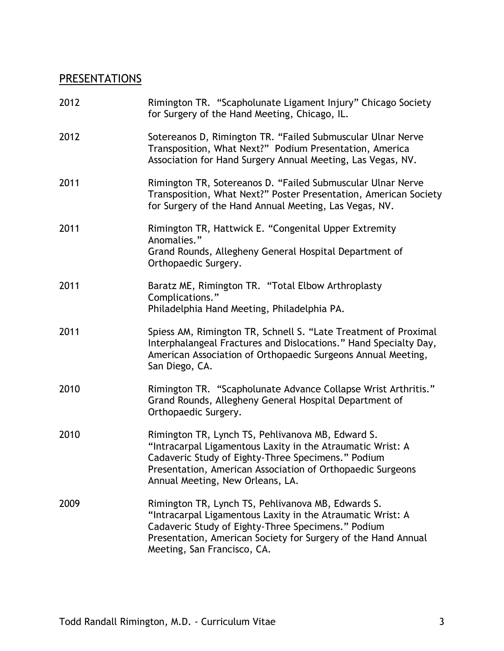# **PRESENTATIONS**

| 2012 | Rimington TR. "Scapholunate Ligament Injury" Chicago Society<br>for Surgery of the Hand Meeting, Chicago, IL.                                                                                                                                                           |
|------|-------------------------------------------------------------------------------------------------------------------------------------------------------------------------------------------------------------------------------------------------------------------------|
| 2012 | Sotereanos D, Rimington TR. "Failed Submuscular Ulnar Nerve<br>Transposition, What Next?" Podium Presentation, America<br>Association for Hand Surgery Annual Meeting, Las Vegas, NV.                                                                                   |
| 2011 | Rimington TR, Sotereanos D. "Failed Submuscular Ulnar Nerve<br>Transposition, What Next?" Poster Presentation, American Society<br>for Surgery of the Hand Annual Meeting, Las Vegas, NV.                                                                               |
| 2011 | Rimington TR, Hattwick E. "Congenital Upper Extremity<br>Anomalies."<br>Grand Rounds, Allegheny General Hospital Department of<br>Orthopaedic Surgery.                                                                                                                  |
| 2011 | Baratz ME, Rimington TR. "Total Elbow Arthroplasty<br>Complications."<br>Philadelphia Hand Meeting, Philadelphia PA.                                                                                                                                                    |
| 2011 | Spiess AM, Rimington TR, Schnell S. "Late Treatment of Proximal<br>Interphalangeal Fractures and Dislocations." Hand Specialty Day,<br>American Association of Orthopaedic Surgeons Annual Meeting,<br>San Diego, CA.                                                   |
| 2010 | Rimington TR. "Scapholunate Advance Collapse Wrist Arthritis."<br>Grand Rounds, Allegheny General Hospital Department of<br>Orthopaedic Surgery.                                                                                                                        |
| 2010 | Rimington TR, Lynch TS, Pehlivanova MB, Edward S.<br>"Intracarpal Ligamentous Laxity in the Atraumatic Wrist: A<br>Cadaveric Study of Eighty-Three Specimens." Podium<br>Presentation, American Association of Orthopaedic Surgeons<br>Annual Meeting, New Orleans, LA. |
| 2009 | Rimington TR, Lynch TS, Pehlivanova MB, Edwards S.<br>"Intracarpal Ligamentous Laxity in the Atraumatic Wrist: A<br>Cadaveric Study of Eighty-Three Specimens." Podium<br>Presentation, American Society for Surgery of the Hand Annual<br>Meeting, San Francisco, CA.  |